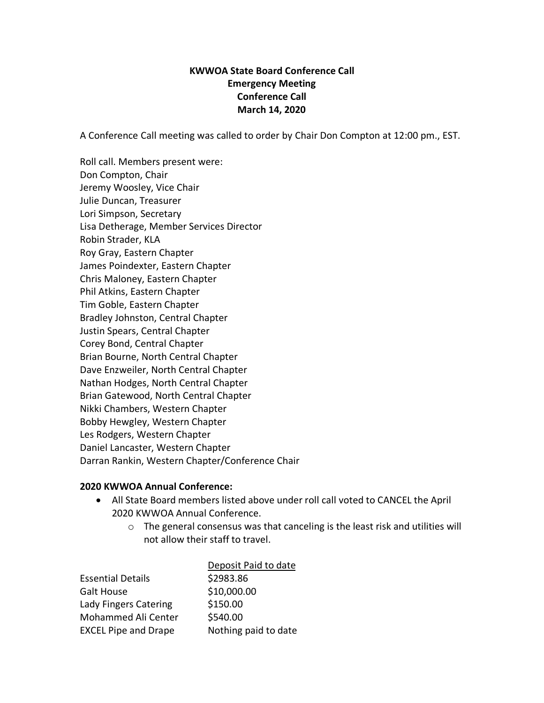## **KWWOA State Board Conference Call Emergency Meeting Conference Call March 14, 2020**

A Conference Call meeting was called to order by Chair Don Compton at 12:00 pm., EST.

Roll call. Members present were: Don Compton, Chair Jeremy Woosley, Vice Chair Julie Duncan, Treasurer Lori Simpson, Secretary Lisa Detherage, Member Services Director Robin Strader, KLA Roy Gray, Eastern Chapter James Poindexter, Eastern Chapter Chris Maloney, Eastern Chapter Phil Atkins, Eastern Chapter Tim Goble, Eastern Chapter Bradley Johnston, Central Chapter Justin Spears, Central Chapter Corey Bond, Central Chapter Brian Bourne, North Central Chapter Dave Enzweiler, North Central Chapter Nathan Hodges, North Central Chapter Brian Gatewood, North Central Chapter Nikki Chambers, Western Chapter Bobby Hewgley, Western Chapter Les Rodgers, Western Chapter Daniel Lancaster, Western Chapter Darran Rankin, Western Chapter/Conference Chair

## **2020 KWWOA Annual Conference:**

- All State Board members listed above under roll call voted to CANCEL the April 2020 KWWOA Annual Conference.
	- o The general consensus was that canceling is the least risk and utilities will not allow their staff to travel.

| Deposit Paid to date |
|----------------------|
| \$2983.86            |
| \$10,000.00          |
| \$150.00             |
| \$540.00             |
| Nothing paid to date |
|                      |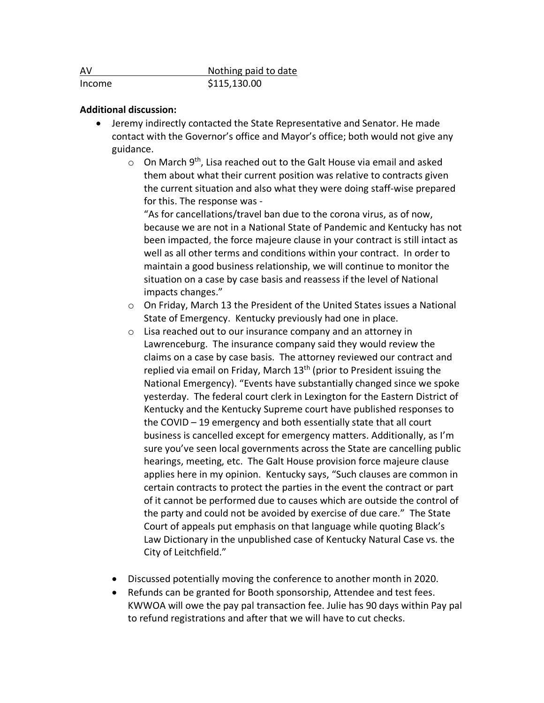| AV     | Nothing paid to date |
|--------|----------------------|
| Income | \$115,130.00         |

## **Additional discussion:**

- Jeremy indirectly contacted the State Representative and Senator. He made contact with the Governor's office and Mayor's office; both would not give any guidance.
	- $\circ$  On March 9<sup>th</sup>, Lisa reached out to the Galt House via email and asked them about what their current position was relative to contracts given the current situation and also what they were doing staff-wise prepared for this. The response was -

"As for cancellations/travel ban due to the corona virus, as of now, because we are not in a National State of Pandemic and Kentucky has not been impacted, the force majeure clause in your contract is still intact as well as all other terms and conditions within your contract. In order to maintain a good business relationship, we will continue to monitor the situation on a case by case basis and reassess if the level of National impacts changes."

- o On Friday, March 13 the President of the United States issues a National State of Emergency. Kentucky previously had one in place.
- o Lisa reached out to our insurance company and an attorney in Lawrenceburg. The insurance company said they would review the claims on a case by case basis. The attorney reviewed our contract and replied via email on Friday, March  $13<sup>th</sup>$  (prior to President issuing the National Emergency). "Events have substantially changed since we spoke yesterday. The federal court clerk in Lexington for the Eastern District of Kentucky and the Kentucky Supreme court have published responses to the COVID – 19 emergency and both essentially state that all court business is cancelled except for emergency matters. Additionally, as I'm sure you've seen local governments across the State are cancelling public hearings, meeting, etc. The Galt House provision force majeure clause applies here in my opinion. Kentucky says, "Such clauses are common in certain contracts to protect the parties in the event the contract or part of it cannot be performed due to causes which are outside the control of the party and could not be avoided by exercise of due care." The State Court of appeals put emphasis on that language while quoting Black's Law Dictionary in the unpublished case of Kentucky Natural Case vs. the City of Leitchfield."
- Discussed potentially moving the conference to another month in 2020.
- Refunds can be granted for Booth sponsorship, Attendee and test fees. KWWOA will owe the pay pal transaction fee. Julie has 90 days within Pay pal to refund registrations and after that we will have to cut checks.